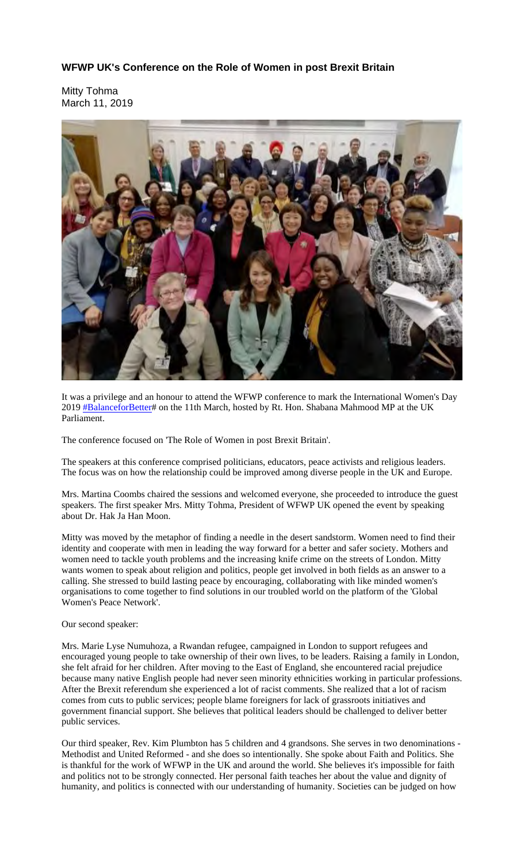## **WFWP UK's Conference on the Role of Women in post Brexit Britain**

Mitty Tohma March 11, 2019



It was a privilege and an honour to attend the WFWP conference to mark the International Women's Day 2019 **#BalanceforBetter#** on the 11th March, hosted by Rt. Hon. Shabana Mahmood MP at the UK Parliament.

The conference focused on 'The Role of Women in post Brexit Britain'.

The speakers at this conference comprised politicians, educators, peace activists and religious leaders. The focus was on how the relationship could be improved among diverse people in the UK and Europe.

Mrs. Martina Coombs chaired the sessions and welcomed everyone, she proceeded to introduce the guest speakers. The first speaker Mrs. Mitty Tohma, President of WFWP UK opened the event by speaking about Dr. Hak Ja Han Moon.

Mitty was moved by the metaphor of finding a needle in the desert sandstorm. Women need to find their identity and cooperate with men in leading the way forward for a better and safer society. Mothers and women need to tackle youth problems and the increasing knife crime on the streets of London. Mitty wants women to speak about religion and politics, people get involved in both fields as an answer to a calling. She stressed to build lasting peace by encouraging, collaborating with like minded women's organisations to come together to find solutions in our troubled world on the platform of the 'Global Women's Peace Network'.

Our second speaker:

Mrs. Marie Lyse Numuhoza, a Rwandan refugee, campaigned in London to support refugees and encouraged young people to take ownership of their own lives, to be leaders. Raising a family in London, she felt afraid for her children. After moving to the East of England, she encountered racial prejudice because many native English people had never seen minority ethnicities working in particular professions. After the Brexit referendum she experienced a lot of racist comments. She realized that a lot of racism comes from cuts to public services; people blame foreigners for lack of grassroots initiatives and government financial support. She believes that political leaders should be challenged to deliver better public services.

Our third speaker, Rev. Kim Plumbton has 5 children and 4 grandsons. She serves in two denominations - Methodist and United Reformed - and she does so intentionally. She spoke about Faith and Politics. She is thankful for the work of WFWP in the UK and around the world. She believes it's impossible for faith and politics not to be strongly connected. Her personal faith teaches her about the value and dignity of humanity, and politics is connected with our understanding of humanity. Societies can be judged on how